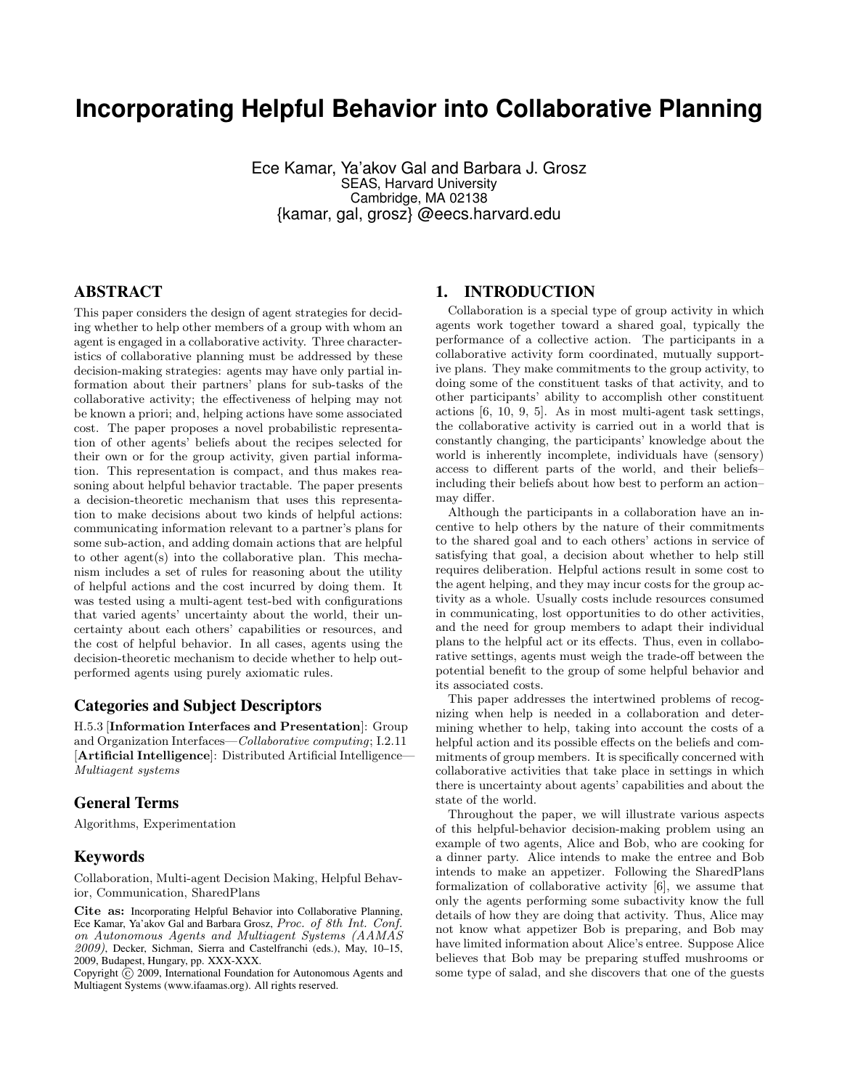## **Incorporating Helpful Behavior into Collaborative Planning**

Ece Kamar, Ya'akov Gal and Barbara J. Grosz SEAS, Harvard University Cambridge, MA 02138 {kamar, gal, grosz} @eecs.harvard.edu

## ABSTRACT

This paper considers the design of agent strategies for deciding whether to help other members of a group with whom an agent is engaged in a collaborative activity. Three characteristics of collaborative planning must be addressed by these decision-making strategies: agents may have only partial information about their partners' plans for sub-tasks of the collaborative activity; the effectiveness of helping may not be known a priori; and, helping actions have some associated cost. The paper proposes a novel probabilistic representation of other agents' beliefs about the recipes selected for their own or for the group activity, given partial information. This representation is compact, and thus makes reasoning about helpful behavior tractable. The paper presents a decision-theoretic mechanism that uses this representation to make decisions about two kinds of helpful actions: communicating information relevant to a partner's plans for some sub-action, and adding domain actions that are helpful to other agent(s) into the collaborative plan. This mechanism includes a set of rules for reasoning about the utility of helpful actions and the cost incurred by doing them. It was tested using a multi-agent test-bed with configurations that varied agents' uncertainty about the world, their uncertainty about each others' capabilities or resources, and the cost of helpful behavior. In all cases, agents using the decision-theoretic mechanism to decide whether to help outperformed agents using purely axiomatic rules.

#### Categories and Subject Descriptors

H.5.3 [Information Interfaces and Presentation]: Group and Organization Interfaces—Collaborative computing; I.2.11 [Artificial Intelligence]: Distributed Artificial Intelligence— Multiagent systems

#### General Terms

Algorithms, Experimentation

#### Keywords

Collaboration, Multi-agent Decision Making, Helpful Behavior, Communication, SharedPlans

Cite as: Incorporating Helpful Behavior into Collaborative Planning, Ece Kamar, Ya'akov Gal and Barbara Grosz, Proc. of 8th Int. Conf. on Autonomous Agents and Multiagent Systems (AAMAS 2009), Decker, Sichman, Sierra and Castelfranchi (eds.), May, 10–15, 2009, Budapest, Hungary, pp. XXX-XXX.

Copyright  $\hat{c}$  2009, International Foundation for Autonomous Agents and Multiagent Systems (www.ifaamas.org). All rights reserved.

#### 1. INTRODUCTION

Collaboration is a special type of group activity in which agents work together toward a shared goal, typically the performance of a collective action. The participants in a collaborative activity form coordinated, mutually supportive plans. They make commitments to the group activity, to doing some of the constituent tasks of that activity, and to other participants' ability to accomplish other constituent actions [6, 10, 9, 5]. As in most multi-agent task settings, the collaborative activity is carried out in a world that is constantly changing, the participants' knowledge about the world is inherently incomplete, individuals have (sensory) access to different parts of the world, and their beliefs– including their beliefs about how best to perform an action– may differ.

Although the participants in a collaboration have an incentive to help others by the nature of their commitments to the shared goal and to each others' actions in service of satisfying that goal, a decision about whether to help still requires deliberation. Helpful actions result in some cost to the agent helping, and they may incur costs for the group activity as a whole. Usually costs include resources consumed in communicating, lost opportunities to do other activities, and the need for group members to adapt their individual plans to the helpful act or its effects. Thus, even in collaborative settings, agents must weigh the trade-off between the potential benefit to the group of some helpful behavior and its associated costs.

This paper addresses the intertwined problems of recognizing when help is needed in a collaboration and determining whether to help, taking into account the costs of a helpful action and its possible effects on the beliefs and commitments of group members. It is specifically concerned with collaborative activities that take place in settings in which there is uncertainty about agents' capabilities and about the state of the world.

Throughout the paper, we will illustrate various aspects of this helpful-behavior decision-making problem using an example of two agents, Alice and Bob, who are cooking for a dinner party. Alice intends to make the entree and Bob intends to make an appetizer. Following the SharedPlans formalization of collaborative activity [6], we assume that only the agents performing some subactivity know the full details of how they are doing that activity. Thus, Alice may not know what appetizer Bob is preparing, and Bob may have limited information about Alice's entree. Suppose Alice believes that Bob may be preparing stuffed mushrooms or some type of salad, and she discovers that one of the guests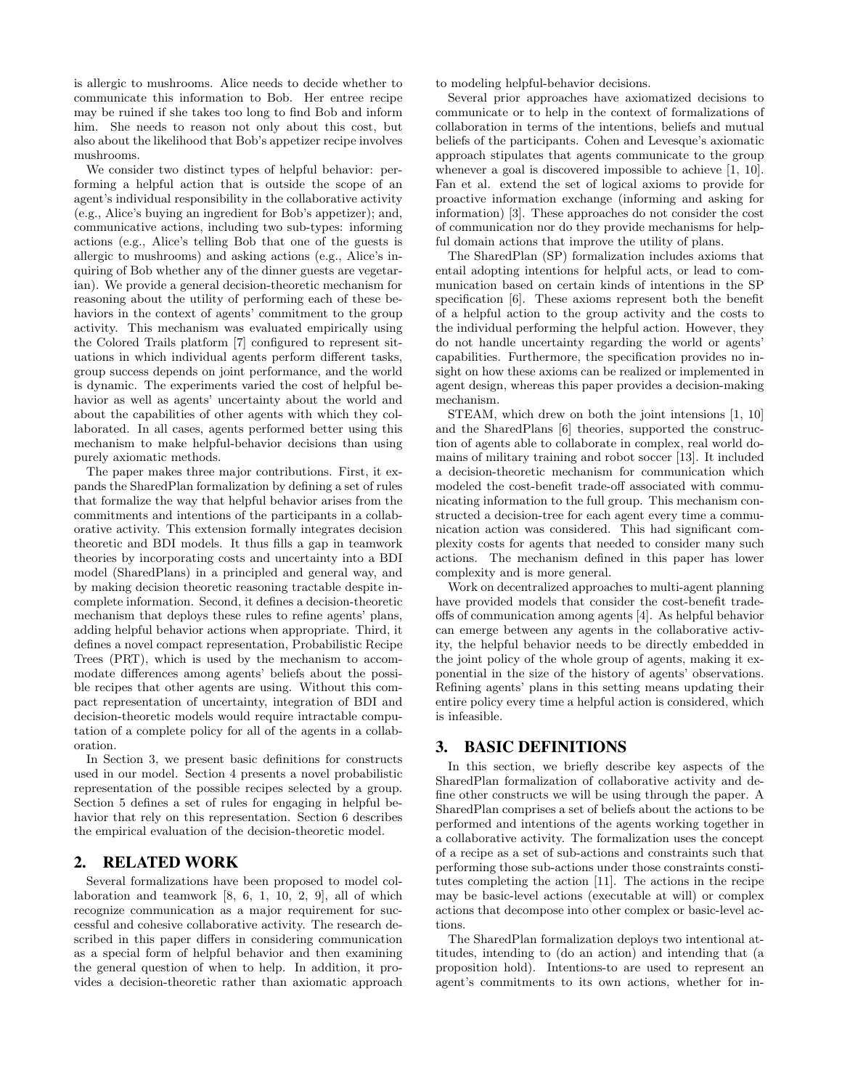is allergic to mushrooms. Alice needs to decide whether to communicate this information to Bob. Her entree recipe may be ruined if she takes too long to find Bob and inform him. She needs to reason not only about this cost, but also about the likelihood that Bob's appetizer recipe involves mushrooms.

We consider two distinct types of helpful behavior: performing a helpful action that is outside the scope of an agent's individual responsibility in the collaborative activity (e.g., Alice's buying an ingredient for Bob's appetizer); and, communicative actions, including two sub-types: informing actions (e.g., Alice's telling Bob that one of the guests is allergic to mushrooms) and asking actions (e.g., Alice's inquiring of Bob whether any of the dinner guests are vegetarian). We provide a general decision-theoretic mechanism for reasoning about the utility of performing each of these behaviors in the context of agents' commitment to the group activity. This mechanism was evaluated empirically using the Colored Trails platform [7] configured to represent situations in which individual agents perform different tasks, group success depends on joint performance, and the world is dynamic. The experiments varied the cost of helpful behavior as well as agents' uncertainty about the world and about the capabilities of other agents with which they collaborated. In all cases, agents performed better using this mechanism to make helpful-behavior decisions than using purely axiomatic methods.

The paper makes three major contributions. First, it expands the SharedPlan formalization by defining a set of rules that formalize the way that helpful behavior arises from the commitments and intentions of the participants in a collaborative activity. This extension formally integrates decision theoretic and BDI models. It thus fills a gap in teamwork theories by incorporating costs and uncertainty into a BDI model (SharedPlans) in a principled and general way, and by making decision theoretic reasoning tractable despite incomplete information. Second, it defines a decision-theoretic mechanism that deploys these rules to refine agents' plans, adding helpful behavior actions when appropriate. Third, it defines a novel compact representation, Probabilistic Recipe Trees (PRT), which is used by the mechanism to accommodate differences among agents' beliefs about the possible recipes that other agents are using. Without this compact representation of uncertainty, integration of BDI and decision-theoretic models would require intractable computation of a complete policy for all of the agents in a collaboration.

In Section 3, we present basic definitions for constructs used in our model. Section 4 presents a novel probabilistic representation of the possible recipes selected by a group. Section 5 defines a set of rules for engaging in helpful behavior that rely on this representation. Section 6 describes the empirical evaluation of the decision-theoretic model.

## 2. RELATED WORK

Several formalizations have been proposed to model collaboration and teamwork [8, 6, 1, 10, 2, 9], all of which recognize communication as a major requirement for successful and cohesive collaborative activity. The research described in this paper differs in considering communication as a special form of helpful behavior and then examining the general question of when to help. In addition, it provides a decision-theoretic rather than axiomatic approach

to modeling helpful-behavior decisions.

Several prior approaches have axiomatized decisions to communicate or to help in the context of formalizations of collaboration in terms of the intentions, beliefs and mutual beliefs of the participants. Cohen and Levesque's axiomatic approach stipulates that agents communicate to the group whenever a goal is discovered impossible to achieve [1, 10]. Fan et al. extend the set of logical axioms to provide for proactive information exchange (informing and asking for information) [3]. These approaches do not consider the cost of communication nor do they provide mechanisms for helpful domain actions that improve the utility of plans.

The SharedPlan (SP) formalization includes axioms that entail adopting intentions for helpful acts, or lead to communication based on certain kinds of intentions in the SP specification [6]. These axioms represent both the benefit of a helpful action to the group activity and the costs to the individual performing the helpful action. However, they do not handle uncertainty regarding the world or agents' capabilities. Furthermore, the specification provides no insight on how these axioms can be realized or implemented in agent design, whereas this paper provides a decision-making mechanism.

STEAM, which drew on both the joint intensions [1, 10] and the SharedPlans [6] theories, supported the construction of agents able to collaborate in complex, real world domains of military training and robot soccer [13]. It included a decision-theoretic mechanism for communication which modeled the cost-benefit trade-off associated with communicating information to the full group. This mechanism constructed a decision-tree for each agent every time a communication action was considered. This had significant complexity costs for agents that needed to consider many such actions. The mechanism defined in this paper has lower complexity and is more general.

Work on decentralized approaches to multi-agent planning have provided models that consider the cost-benefit tradeoffs of communication among agents [4]. As helpful behavior can emerge between any agents in the collaborative activity, the helpful behavior needs to be directly embedded in the joint policy of the whole group of agents, making it exponential in the size of the history of agents' observations. Refining agents' plans in this setting means updating their entire policy every time a helpful action is considered, which is infeasible.

### 3. BASIC DEFINITIONS

In this section, we briefly describe key aspects of the SharedPlan formalization of collaborative activity and define other constructs we will be using through the paper. A SharedPlan comprises a set of beliefs about the actions to be performed and intentions of the agents working together in a collaborative activity. The formalization uses the concept of a recipe as a set of sub-actions and constraints such that performing those sub-actions under those constraints constitutes completing the action [11]. The actions in the recipe may be basic-level actions (executable at will) or complex actions that decompose into other complex or basic-level actions.

The SharedPlan formalization deploys two intentional attitudes, intending to (do an action) and intending that (a proposition hold). Intentions-to are used to represent an agent's commitments to its own actions, whether for in-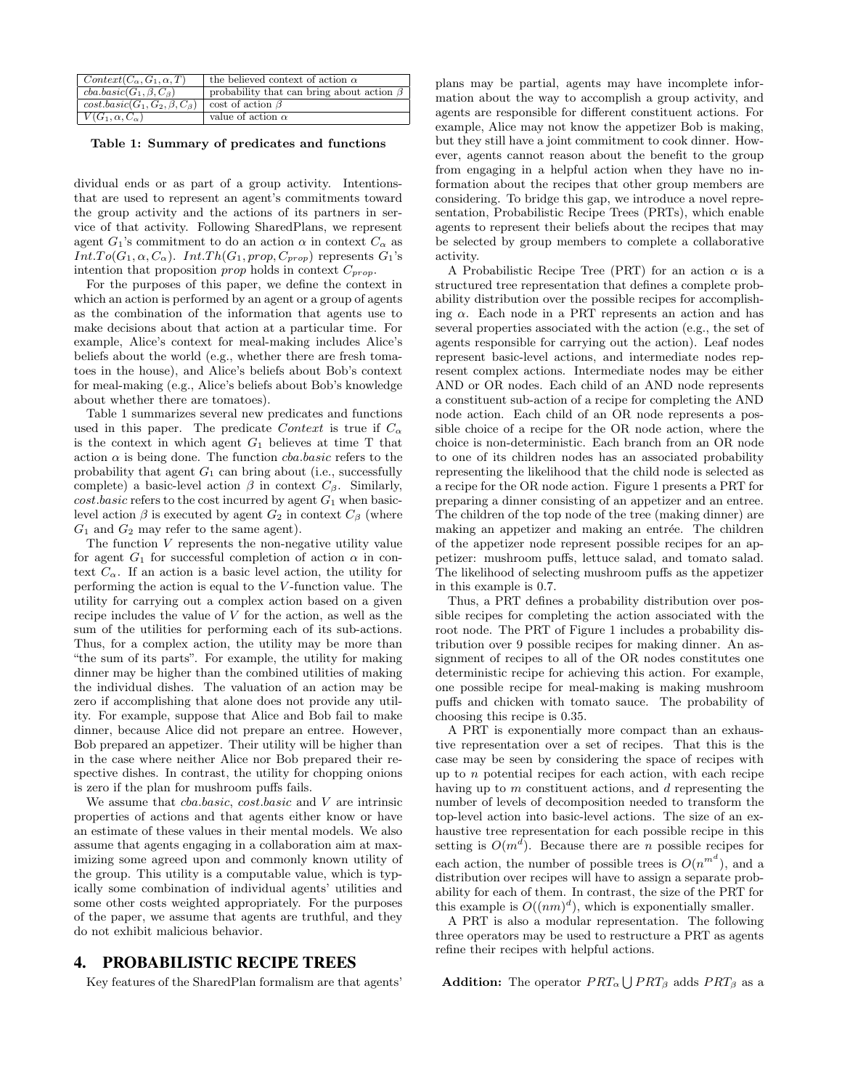| $Context(C_{\alpha}, G_1, \alpha, T)$        | the believed context of action $\alpha$         |
|----------------------------------------------|-------------------------------------------------|
| $cba.basic(G_1, \beta, C_\beta)$             | probability that can bring about action $\beta$ |
| $cost \cdot basic(G_1, G_2, \beta, C_\beta)$ | cost of action $\beta$                          |
| $V(G_1, \alpha, C_\alpha)$                   | value of action $\alpha$                        |

Table 1: Summary of predicates and functions

dividual ends or as part of a group activity. Intentionsthat are used to represent an agent's commitments toward the group activity and the actions of its partners in service of that activity. Following SharedPlans, we represent agent  $G_1$ 's commitment to do an action  $\alpha$  in context  $C_{\alpha}$  as  $Int.To(G_1, \alpha, C_{\alpha})$ .  $Int.Th(G_1, prop, C_{prop})$  represents  $G_1$ 's intention that proposition *prop* holds in context  $C_{prop}$ .

For the purposes of this paper, we define the context in which an action is performed by an agent or a group of agents as the combination of the information that agents use to make decisions about that action at a particular time. For example, Alice's context for meal-making includes Alice's beliefs about the world (e.g., whether there are fresh tomatoes in the house), and Alice's beliefs about Bob's context for meal-making (e.g., Alice's beliefs about Bob's knowledge about whether there are tomatoes).

Table 1 summarizes several new predicates and functions used in this paper. The predicate Context is true if  $C_{\alpha}$ is the context in which agent  $G_1$  believes at time T that action  $\alpha$  is being done. The function *cba.basic* refers to the probability that agent  $G_1$  can bring about (i.e., successfully complete) a basic-level action  $\beta$  in context  $C_{\beta}$ . Similarly,  $cost \cdot basic$  refers to the cost incurred by agent  $G_1$  when basiclevel action  $\beta$  is executed by agent  $G_2$  in context  $C_\beta$  (where  $G_1$  and  $G_2$  may refer to the same agent).

The function V represents the non-negative utility value for agent  $G_1$  for successful completion of action  $\alpha$  in context  $C_{\alpha}$ . If an action is a basic level action, the utility for performing the action is equal to the V -function value. The utility for carrying out a complex action based on a given recipe includes the value of  $V$  for the action, as well as the sum of the utilities for performing each of its sub-actions. Thus, for a complex action, the utility may be more than "the sum of its parts". For example, the utility for making dinner may be higher than the combined utilities of making the individual dishes. The valuation of an action may be zero if accomplishing that alone does not provide any utility. For example, suppose that Alice and Bob fail to make dinner, because Alice did not prepare an entree. However, Bob prepared an appetizer. Their utility will be higher than in the case where neither Alice nor Bob prepared their respective dishes. In contrast, the utility for chopping onions is zero if the plan for mushroom puffs fails.

We assume that  $cba.basic, cost.basic$  and  $V$  are intrinsic properties of actions and that agents either know or have an estimate of these values in their mental models. We also assume that agents engaging in a collaboration aim at maximizing some agreed upon and commonly known utility of the group. This utility is a computable value, which is typically some combination of individual agents' utilities and some other costs weighted appropriately. For the purposes of the paper, we assume that agents are truthful, and they do not exhibit malicious behavior.

## 4. PROBABILISTIC RECIPE TREES

Key features of the SharedPlan formalism are that agents'

plans may be partial, agents may have incomplete information about the way to accomplish a group activity, and agents are responsible for different constituent actions. For example, Alice may not know the appetizer Bob is making, but they still have a joint commitment to cook dinner. However, agents cannot reason about the benefit to the group from engaging in a helpful action when they have no information about the recipes that other group members are considering. To bridge this gap, we introduce a novel representation, Probabilistic Recipe Trees (PRTs), which enable agents to represent their beliefs about the recipes that may be selected by group members to complete a collaborative activity.

A Probabilistic Recipe Tree (PRT) for an action  $\alpha$  is a structured tree representation that defines a complete probability distribution over the possible recipes for accomplishing  $\alpha$ . Each node in a PRT represents an action and has several properties associated with the action (e.g., the set of agents responsible for carrying out the action). Leaf nodes represent basic-level actions, and intermediate nodes represent complex actions. Intermediate nodes may be either AND or OR nodes. Each child of an AND node represents a constituent sub-action of a recipe for completing the AND node action. Each child of an OR node represents a possible choice of a recipe for the OR node action, where the choice is non-deterministic. Each branch from an OR node to one of its children nodes has an associated probability representing the likelihood that the child node is selected as a recipe for the OR node action. Figure 1 presents a PRT for preparing a dinner consisting of an appetizer and an entree. The children of the top node of the tree (making dinner) are making an appetizer and making an entrée. The children of the appetizer node represent possible recipes for an appetizer: mushroom puffs, lettuce salad, and tomato salad. The likelihood of selecting mushroom puffs as the appetizer in this example is 0.7.

Thus, a PRT defines a probability distribution over possible recipes for completing the action associated with the root node. The PRT of Figure 1 includes a probability distribution over 9 possible recipes for making dinner. An assignment of recipes to all of the OR nodes constitutes one deterministic recipe for achieving this action. For example, one possible recipe for meal-making is making mushroom puffs and chicken with tomato sauce. The probability of choosing this recipe is 0.35.

A PRT is exponentially more compact than an exhaustive representation over a set of recipes. That this is the case may be seen by considering the space of recipes with up to n potential recipes for each action, with each recipe having up to m constituent actions, and d representing the number of levels of decomposition needed to transform the top-level action into basic-level actions. The size of an exhaustive tree representation for each possible recipe in this setting is  $O(m^d)$ . Because there are n possible recipes for each action, the number of possible trees is  $O(n^{m^d})$ , and a distribution over recipes will have to assign a separate probability for each of them. In contrast, the size of the PRT for this example is  $O((nm)^d)$ , which is exponentially smaller.

A PRT is also a modular representation. The following three operators may be used to restructure a PRT as agents refine their recipes with helpful actions.

**Addition:** The operator  $PRT_{\alpha} \bigcup PRT_{\beta}$  adds  $PRT_{\beta}$  as a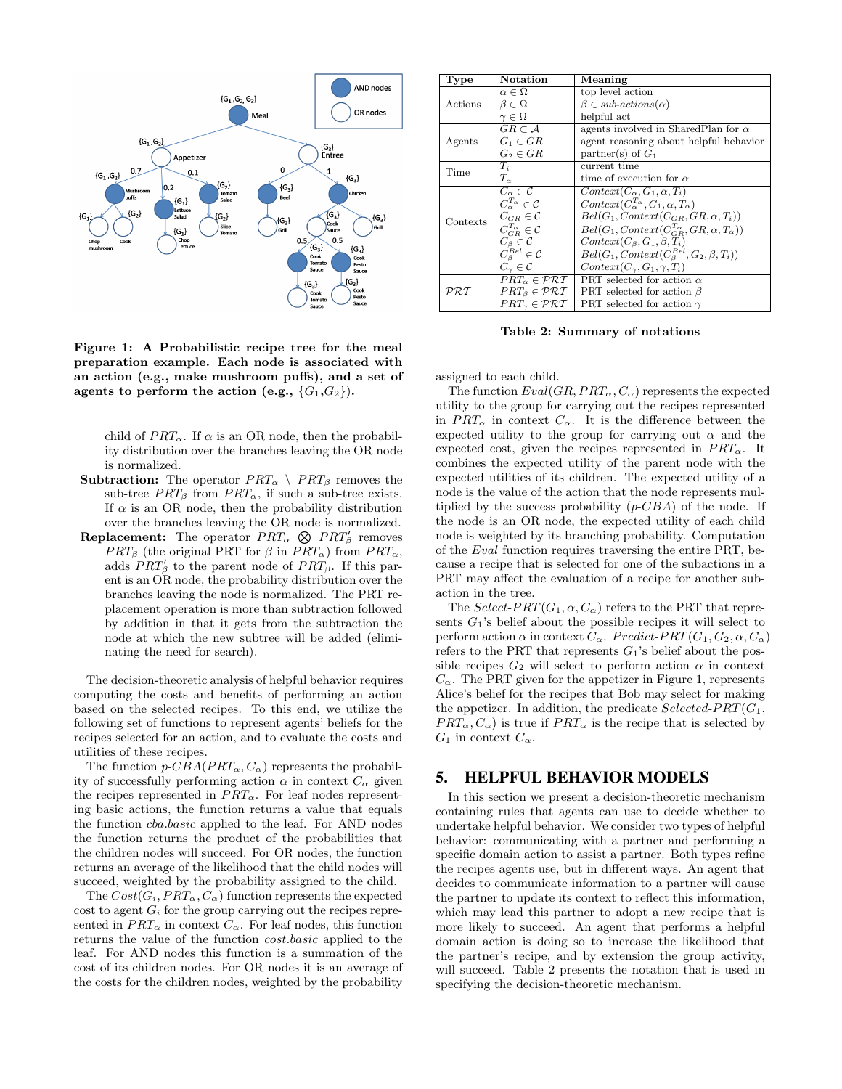

Figure 1: A Probabilistic recipe tree for the meal preparation example. Each node is associated with an action (e.g., make mushroom puffs), and a set of agents to perform the action (e.g.,  $\{G_1, G_2\}$ ).

child of  $PRT_{\alpha}$ . If  $\alpha$  is an OR node, then the probability distribution over the branches leaving the OR node is normalized.

- **Subtraction:** The operator  $PRT_{\alpha} \setminus PRT_{\beta}$  removes the sub-tree  $PRT_{\beta}$  from  $PRT_{\alpha}$ , if such a sub-tree exists. If  $\alpha$  is an OR node, then the probability distribution over the branches leaving the OR node is normalized.
- over the branches leaving the OK hode is hormalized.<br> **Replacement:** The operator  $PRT_{\alpha} \otimes PRT'_{\beta}$  removes  $PRT_{\beta}$  (the original PRT for  $\beta$  in  $PRT_{\alpha}$ ) from  $PRT_{\alpha}$ , adds  $PRT'_{\beta}$  to the parent node of  $PRT_{\beta}$ . If this parent is an OR node, the probability distribution over the branches leaving the node is normalized. The PRT replacement operation is more than subtraction followed by addition in that it gets from the subtraction the node at which the new subtree will be added (eliminating the need for search).

The decision-theoretic analysis of helpful behavior requires computing the costs and benefits of performing an action based on the selected recipes. To this end, we utilize the following set of functions to represent agents' beliefs for the recipes selected for an action, and to evaluate the costs and utilities of these recipes.

The function  $p\text{-}CBA(PRT_\alpha, C_\alpha)$  represents the probability of successfully performing action  $\alpha$  in context  $C_{\alpha}$  given the recipes represented in  $PRT_{\alpha}$ . For leaf nodes representing basic actions, the function returns a value that equals the function cba.basic applied to the leaf. For AND nodes the function returns the product of the probabilities that the children nodes will succeed. For OR nodes, the function returns an average of the likelihood that the child nodes will succeed, weighted by the probability assigned to the child.

The  $Cost(G_i, PRT_{\alpha}, C_{\alpha})$  function represents the expected cost to agent  $G_i$  for the group carrying out the recipes represented in  $PRT_{\alpha}$  in context  $C_{\alpha}$ . For leaf nodes, this function returns the value of the function cost.basic applied to the leaf. For AND nodes this function is a summation of the cost of its children nodes. For OR nodes it is an average of the costs for the children nodes, weighted by the probability

| Type                                  | Notation                                  | Meaning                                                          |
|---------------------------------------|-------------------------------------------|------------------------------------------------------------------|
| Actions                               | $\alpha \in \Omega$                       | top level action                                                 |
|                                       | $\beta \in \Omega$                        | $\beta \in sub-actions(\alpha)$                                  |
|                                       | $\gamma \in \Omega$                       | helpful act                                                      |
| Agents                                | $GR \subset \mathcal{A}$                  | agents involved in Shared Plan for $\alpha$                      |
|                                       | $G_1 \in GR$                              | agent reasoning about helpful behavior                           |
|                                       | $G_2 \in GR$                              | partner(s) of $G_1$                                              |
| Time                                  | $T_i$                                     | current time                                                     |
|                                       | $T_{\alpha}$                              | time of execution for $\alpha$                                   |
| Contexts                              | $C_{\alpha} \in \mathcal{C}$              | $Context(C_{\alpha}, G_1, \alpha, T_i)$                          |
|                                       | $C_{\alpha}^{T_{\alpha}} \in \mathcal{C}$ | $Context(C_{\alpha}^{T_{\alpha}}, G_1, \alpha, T_{\alpha})$      |
|                                       | $C_{GR} \in \mathcal{C}$                  | $Bel(G_1, Context(C_{GR}, GR, \alpha, T_i))$                     |
|                                       | $C_{GR}^{T_{\alpha}} \in \mathcal{C}$     | $Bel(G_1, Context(C_{GB}^{T_{\alpha}}, GR, \alpha, T_{\alpha}))$ |
|                                       | $C_{\beta}\in\mathcal{C}$                 | $Context(C_{\beta}, G_1, \beta, T_i)$                            |
|                                       | $C^{Bel}_\beta \in \mathcal{C}$           | $Bel(G_1, Context(C_{\beta}^{Bel}, G_2, \beta, T_i))$            |
|                                       | $C_{\gamma} \in \mathcal{C}$              | $Context(C_{\gamma}, G_1, \gamma, T_i)$                          |
| $\mathcal{P} \mathcal{R} \mathcal{T}$ | $PRT_{\alpha} \in \mathcal{PRT}$          | PRT selected for action $\alpha$                                 |
|                                       | $PRT_{\beta} \in \mathcal{PRT}$           | PRT selected for action $\beta$                                  |
|                                       | $PRT_{\gamma} \in \mathcal{PRT}$          | PRT selected for action $\gamma$                                 |

Table 2: Summary of notations

assigned to each child.

The function  $Eval(GR, PRT_{\alpha}, C_{\alpha})$  represents the expected utility to the group for carrying out the recipes represented in  $PRT_{\alpha}$  in context  $C_{\alpha}$ . It is the difference between the expected utility to the group for carrying out  $\alpha$  and the expected cost, given the recipes represented in  $PRT_{\alpha}$ . It combines the expected utility of the parent node with the expected utilities of its children. The expected utility of a node is the value of the action that the node represents multiplied by the success probability  $(p\text{-}CBA)$  of the node. If the node is an OR node, the expected utility of each child node is weighted by its branching probability. Computation of the Eval function requires traversing the entire PRT, because a recipe that is selected for one of the subactions in a PRT may affect the evaluation of a recipe for another subaction in the tree.

The Select-PRT( $G_1, \alpha, C_\alpha$ ) refers to the PRT that represents  $G_1$ 's belief about the possible recipes it will select to perform action  $\alpha$  in context  $C_{\alpha}$ . Predict-PRT( $G_1, G_2, \alpha, C_{\alpha}$ ) refers to the PRT that represents  $G_1$ 's belief about the possible recipes  $G_2$  will select to perform action  $\alpha$  in context  $C_{\alpha}$ . The PRT given for the appetizer in Figure 1, represents Alice's belief for the recipes that Bob may select for making the appetizer. In addition, the predicate  $Selected-ERT(G_1,$  $PRT_{\alpha}, C_{\alpha}$  is true if  $PRT_{\alpha}$  is the recipe that is selected by  $G_1$  in context  $C_{\alpha}$ .

## 5. HELPFUL BEHAVIOR MODELS

In this section we present a decision-theoretic mechanism containing rules that agents can use to decide whether to undertake helpful behavior. We consider two types of helpful behavior: communicating with a partner and performing a specific domain action to assist a partner. Both types refine the recipes agents use, but in different ways. An agent that decides to communicate information to a partner will cause the partner to update its context to reflect this information, which may lead this partner to adopt a new recipe that is more likely to succeed. An agent that performs a helpful domain action is doing so to increase the likelihood that the partner's recipe, and by extension the group activity, will succeed. Table 2 presents the notation that is used in specifying the decision-theoretic mechanism.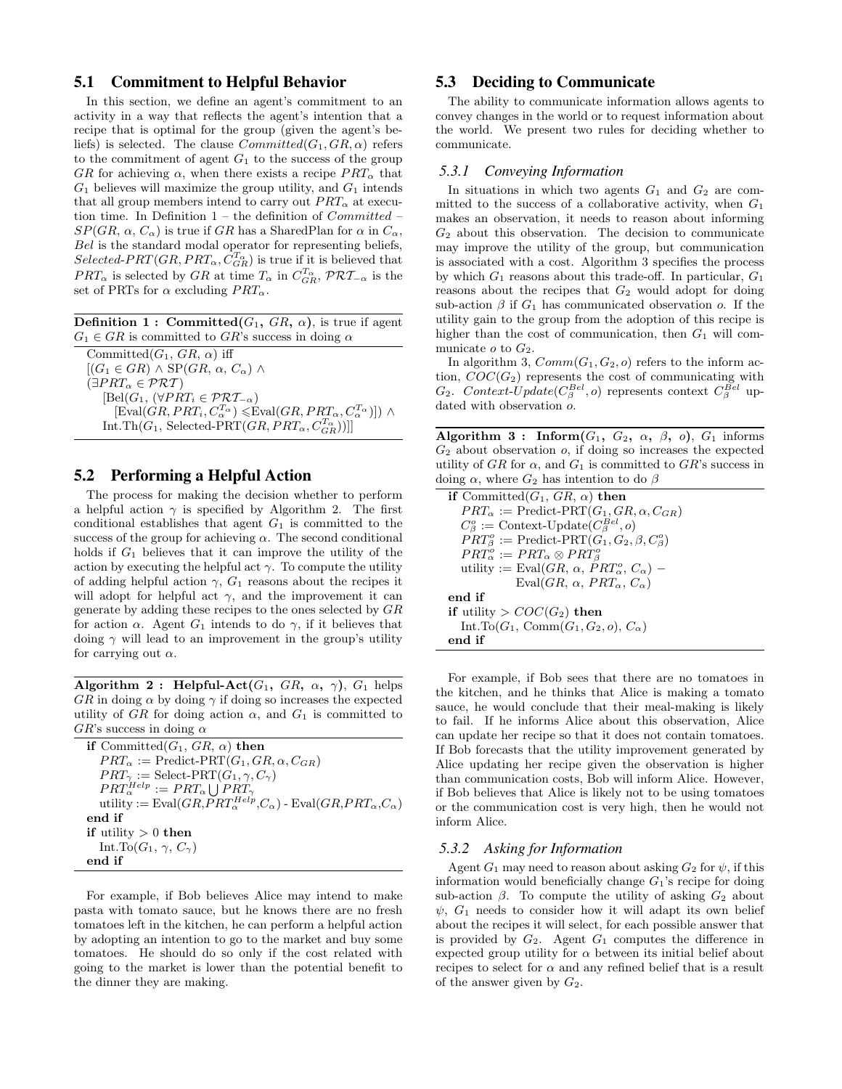#### 5.1 Commitment to Helpful Behavior

In this section, we define an agent's commitment to an activity in a way that reflects the agent's intention that a recipe that is optimal for the group (given the agent's beliefs) is selected. The clause  $Committed(G_1, GR, \alpha)$  refers to the commitment of agent  $G_1$  to the success of the group GR for achieving  $\alpha$ , when there exists a recipe  $PRT_{\alpha}$  that  $G_1$  believes will maximize the group utility, and  $G_1$  intends that all group members intend to carry out  $PRT_{\alpha}$  at execution time. In Definition  $1$  – the definition of  $Committed$  –  $SP(GR, \alpha, C_{\alpha})$  is true if GR has a SharedPlan for  $\alpha$  in  $C_{\alpha}$ , Bel is the standard modal operator for representing beliefs,  $Selected-PRT(GR, PRT_{\alpha}, \tilde{C}_{GR}^{T_{\alpha}})$  is true if it is believed that  $PRT_{\alpha}$  is selected by GR at time  $T_{\alpha}$  in  $C_{GR}^{T_{\alpha}},$   $\mathcal{PRT}_{-\alpha}$  is the set of PRTs for  $\alpha$  excluding  $PRT_{\alpha}$ .

**Definition 1 : Committed** $(G_1, GR, \alpha)$ , is true if agent  $G_1 \in \mathbb{G}R$  is committed to  $\mathbb{G}R$ 's success in doing  $\alpha$ 

Committed( $G_1$ ,  $GR$ ,  $\alpha$ ) iff  $[(G_1 \in GR) \wedge \text{SP}(GR, \alpha, C_{\alpha}) \wedge$  $(\exists PRT_{\alpha} \in \mathcal{PRT})$  $[Bel(G_1, (\forall PRT_i \in \mathcal{PRT}_{-\alpha})]$  $[\text{Eval}(GR, PRT_i, C_{\alpha}^{T_{\alpha}}) \leq \text{Eval}(GR, PRT_{\alpha}, C_{\alpha}^{T_{\alpha}})]) \wedge$  $\text{Int } \text{Th}(G_1, \, \text{Selected-PRT}(GR, PRT_\alpha, C_{GR}^{T_\alpha}))]]$ 

## 5.2 Performing a Helpful Action

The process for making the decision whether to perform a helpful action  $\gamma$  is specified by Algorithm 2. The first conditional establishes that agent  $G_1$  is committed to the success of the group for achieving  $\alpha$ . The second conditional holds if  $G_1$  believes that it can improve the utility of the action by executing the helpful act  $\gamma$ . To compute the utility of adding helpful action  $\gamma$ ,  $G_1$  reasons about the recipes it will adopt for helpful act  $\gamma$ , and the improvement it can generate by adding these recipes to the ones selected by GR for action  $\alpha$ . Agent  $G_1$  intends to do  $\gamma$ , if it believes that doing  $\gamma$  will lead to an improvement in the group's utility for carrying out  $\alpha$ .

Algorithm 2 : Helpful-Act $(G_1, GR, \alpha, \gamma)$ ,  $G_1$  helps  $GR$  in doing  $\alpha$  by doing  $\gamma$  if doing so increases the expected utility of GR for doing action  $\alpha$ , and  $G_1$  is committed to  $GR$ 's success in doing  $\alpha$ 

| if Committed $(G_1, GR, \alpha)$ then                                                                      |
|------------------------------------------------------------------------------------------------------------|
| $PRT_{\alpha} := \text{Predict-PRT}(G_1, GR, \alpha, C_{GR})$                                              |
| $PRT_{\gamma} := \text{Select-PRT}(G_1, \gamma, C_{\gamma})$                                               |
| $PRT_{\alpha}^{Help} := PRT_{\alpha} \bigcup PRT_{\gamma}$                                                 |
| utility := Eval $(GR, \overline{P}RT_{\alpha}^{Help}, C_{\alpha})$ - Eval $(GR, PRT_{\alpha}, C_{\alpha})$ |
| end if                                                                                                     |
| if utility $> 0$ then                                                                                      |
| Int.To( $G_1$ , $\gamma$ , $C_{\gamma}$ )                                                                  |
| end if                                                                                                     |

For example, if Bob believes Alice may intend to make pasta with tomato sauce, but he knows there are no fresh tomatoes left in the kitchen, he can perform a helpful action by adopting an intention to go to the market and buy some tomatoes. He should do so only if the cost related with going to the market is lower than the potential benefit to the dinner they are making.

#### 5.3 Deciding to Communicate

The ability to communicate information allows agents to convey changes in the world or to request information about the world. We present two rules for deciding whether to communicate.

#### *5.3.1 Conveying Information*

In situations in which two agents  $G_1$  and  $G_2$  are committed to the success of a collaborative activity, when  $G_1$ makes an observation, it needs to reason about informing  $G_2$  about this observation. The decision to communicate may improve the utility of the group, but communication is associated with a cost. Algorithm 3 specifies the process by which  $G_1$  reasons about this trade-off. In particular,  $G_1$ reasons about the recipes that  $G_2$  would adopt for doing sub-action  $\beta$  if  $G_1$  has communicated observation o. If the utility gain to the group from the adoption of this recipe is higher than the cost of communication, then  $G_1$  will communicate  $o$  to  $G_2$ .

In algorithm 3,  $Comm(G_1, G_2, o)$  refers to the inform action,  $COC(G_2)$  represents the cost of communicating with  $G_2$ . Context-Update( $C_{\beta}^{Bel}$ , o) represents context  $C_{\beta}^{Bel}$  updated with observation  $\rho$ .

Algorithm 3 : Inform $(G_1, G_2, \alpha, \beta, o)$ ,  $G_1$  informs  $G_2$  about observation  $o$ , if doing so increases the expected utility of GR for  $\alpha$ , and  $G_1$  is committed to GR's success in doing  $\alpha$ , where  $G_2$  has intention to do  $\beta$ 

| if Committed( $G_1$ , $GR$ , $\alpha$ ) then                                                             |
|----------------------------------------------------------------------------------------------------------|
| $PRT_{\alpha} := \text{Predict-PRT}(G_1, GR, \alpha, C_{GR})$                                            |
| $C_{\beta}^{o} :=$ Context-Update $(C_{\beta}^{Bel}, o)$                                                 |
| $PRT_{\beta}^{o} := \text{Predict-PRT}(G_1, G_2, \beta, C_{\beta}^{o})$                                  |
| $PRT_{\alpha}^o := PRT_{\alpha} \otimes PRT_{\beta}^o$                                                   |
| utility := Eval(GR, $\alpha$ , PRT <sub><math>\alpha</math></sub> , C <sub><math>\alpha</math></sub> ) – |
| Eval $(GR, \alpha, PRT_{\alpha}, C_{\alpha})$                                                            |
| end if                                                                                                   |
| if utility > $COC(G_2)$ then                                                                             |
| Int.To( $G_1$ , Comm( $G_1$ , $G_2$ , $o$ ), $C_{\alpha}$ )                                              |
| end if                                                                                                   |

For example, if Bob sees that there are no tomatoes in the kitchen, and he thinks that Alice is making a tomato sauce, he would conclude that their meal-making is likely to fail. If he informs Alice about this observation, Alice can update her recipe so that it does not contain tomatoes. If Bob forecasts that the utility improvement generated by Alice updating her recipe given the observation is higher than communication costs, Bob will inform Alice. However, if Bob believes that Alice is likely not to be using tomatoes or the communication cost is very high, then he would not inform Alice.

#### *5.3.2 Asking for Information*

Agent  $G_1$  may need to reason about asking  $G_2$  for  $\psi$ , if this information would beneficially change  $G_1$ 's recipe for doing sub-action  $\beta$ . To compute the utility of asking  $G_2$  about  $\psi$ ,  $G_1$  needs to consider how it will adapt its own belief about the recipes it will select, for each possible answer that is provided by  $G_2$ . Agent  $G_1$  computes the difference in expected group utility for  $\alpha$  between its initial belief about recipes to select for  $\alpha$  and any refined belief that is a result of the answer given by  $G_2$ .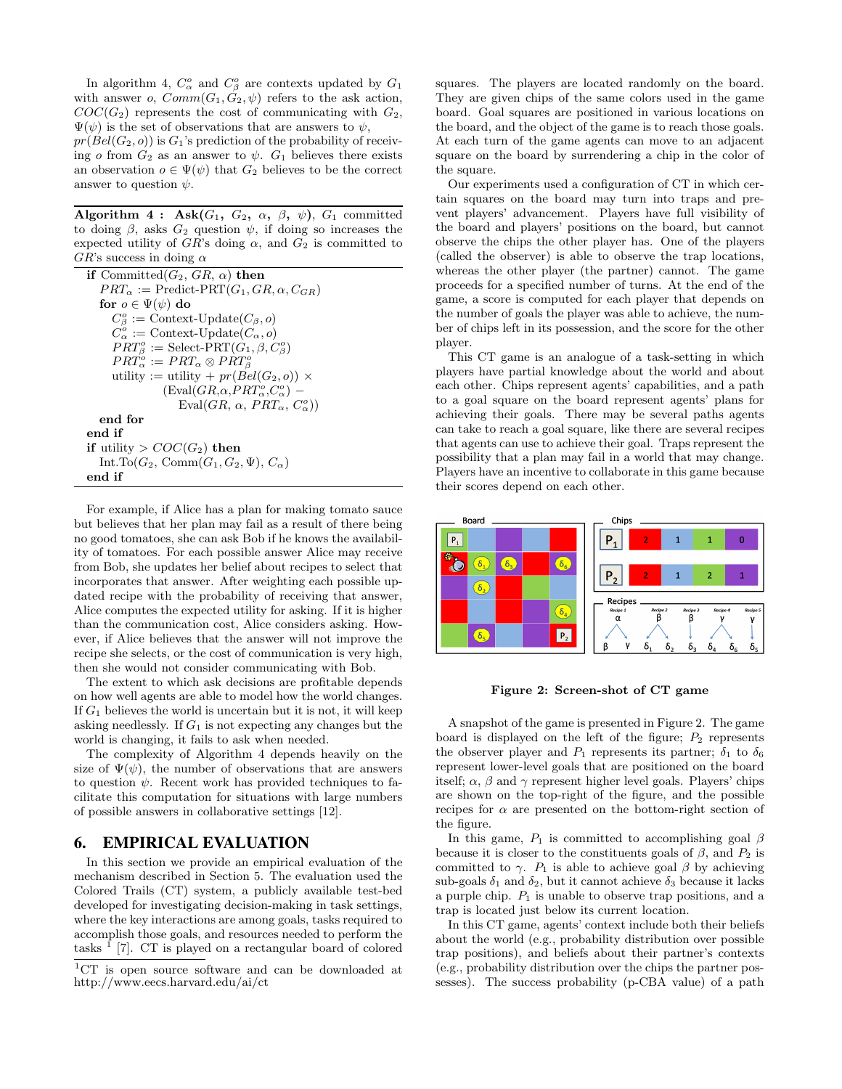In algorithm 4,  $C^o_\alpha$  and  $C^o_\beta$  are contexts updated by  $G_1$ with answer o,  $Comm(G_1, G_2, \psi)$  refers to the ask action,  $COC(G_2)$  represents the cost of communicating with  $G_2$ ,  $\Psi(\psi)$  is the set of observations that are answers to  $\psi$ ,

 $pr(Bel(G_2, o))$  is  $G_1$ 's prediction of the probability of receiving o from  $G_2$  as an answer to  $\psi$ .  $G_1$  believes there exists an observation  $o \in \Psi(\psi)$  that  $G_2$  believes to be the correct answer to question  $\psi$ .

Algorithm 4 : Ask $(G_1, G_2, \alpha, \beta, \psi)$ ,  $G_1$  committed to doing  $\beta$ , asks  $G_2$  question  $\psi$ , if doing so increases the expected utility of  $GR$ 's doing  $\alpha$ , and  $G_2$  is committed to  $GR$ 's success in doing  $\alpha$ 

| if Committed( $G_2$ , $GR$ , $\alpha$ ) then                      |
|-------------------------------------------------------------------|
| $PRT_{\alpha} := \text{Predict-PRT}(G_1, GR, \alpha, C_{GR})$     |
| for $o \in \Psi(\psi)$ do                                         |
| $C^o_\beta := \text{Context-Update}(C_\beta,o)$                   |
| $C_{\alpha}^{o} :=$ Context-Update $(C_{\alpha}, o)$              |
| $PRT_{\beta}^{o} := \text{Select-PRT}(G_1, \beta, C_{\beta}^{o})$ |
| $PRT_{\alpha}^o := PRT_{\alpha} \otimes PRT_{\beta}^o$            |
| utility := utility + $pr(Bel(G_2, o)) \times$                     |
| $(\text{Eval}(GR, \alpha, PRT^o_{\alpha}, C^o_{\alpha})$ –        |
| Eval $(GR, \alpha, PRT_{\alpha}, C_{\alpha}^{o})$                 |
| end for                                                           |
| end if                                                            |
| if utility > $COC(G_2)$ then                                      |
| Int.To( $G_2$ , Comm( $G_1, G_2, \Psi$ ), $C_{\alpha}$ )          |
| end if                                                            |

For example, if Alice has a plan for making tomato sauce but believes that her plan may fail as a result of there being no good tomatoes, she can ask Bob if he knows the availability of tomatoes. For each possible answer Alice may receive from Bob, she updates her belief about recipes to select that incorporates that answer. After weighting each possible updated recipe with the probability of receiving that answer, Alice computes the expected utility for asking. If it is higher than the communication cost, Alice considers asking. However, if Alice believes that the answer will not improve the recipe she selects, or the cost of communication is very high, then she would not consider communicating with Bob.

The extent to which ask decisions are profitable depends on how well agents are able to model how the world changes. If  $G_1$  believes the world is uncertain but it is not, it will keep asking needlessly. If  $G_1$  is not expecting any changes but the world is changing, it fails to ask when needed.

The complexity of Algorithm 4 depends heavily on the size of  $\Psi(\psi)$ , the number of observations that are answers to question  $\psi$ . Recent work has provided techniques to facilitate this computation for situations with large numbers of possible answers in collaborative settings [12].

#### 6. EMPIRICAL EVALUATION

In this section we provide an empirical evaluation of the mechanism described in Section 5. The evaluation used the Colored Trails (CT) system, a publicly available test-bed developed for investigating decision-making in task settings, where the key interactions are among goals, tasks required to accomplish those goals, and resources needed to perform the tasks  $<sup>1</sup>$  [7]. CT is played on a rectangular board of colored</sup>

squares. The players are located randomly on the board. They are given chips of the same colors used in the game board. Goal squares are positioned in various locations on the board, and the object of the game is to reach those goals. At each turn of the game agents can move to an adjacent square on the board by surrendering a chip in the color of the square.

Our experiments used a configuration of CT in which certain squares on the board may turn into traps and prevent players' advancement. Players have full visibility of the board and players' positions on the board, but cannot observe the chips the other player has. One of the players (called the observer) is able to observe the trap locations, whereas the other player (the partner) cannot. The game proceeds for a specified number of turns. At the end of the game, a score is computed for each player that depends on the number of goals the player was able to achieve, the number of chips left in its possession, and the score for the other player.

This CT game is an analogue of a task-setting in which players have partial knowledge about the world and about each other. Chips represent agents' capabilities, and a path to a goal square on the board represent agents' plans for achieving their goals. There may be several paths agents can take to reach a goal square, like there are several recipes that agents can use to achieve their goal. Traps represent the possibility that a plan may fail in a world that may change. Players have an incentive to collaborate in this game because their scores depend on each other.



Figure 2: Screen-shot of CT game

A snapshot of the game is presented in Figure 2. The game board is displayed on the left of the figure;  $P_2$  represents the observer player and  $P_1$  represents its partner;  $\delta_1$  to  $\delta_6$ represent lower-level goals that are positioned on the board itself;  $\alpha$ ,  $\beta$  and  $\gamma$  represent higher level goals. Players' chips are shown on the top-right of the figure, and the possible recipes for  $\alpha$  are presented on the bottom-right section of the figure.

In this game,  $P_1$  is committed to accomplishing goal  $\beta$ because it is closer to the constituents goals of  $\beta$ , and  $P_2$  is committed to  $\gamma$ .  $P_1$  is able to achieve goal  $\beta$  by achieving sub-goals  $\delta_1$  and  $\delta_2$ , but it cannot achieve  $\delta_3$  because it lacks a purple chip.  $P_1$  is unable to observe trap positions, and a trap is located just below its current location.

In this CT game, agents' context include both their beliefs about the world (e.g., probability distribution over possible trap positions), and beliefs about their partner's contexts (e.g., probability distribution over the chips the partner possesses). The success probability (p-CBA value) of a path

 ${}^{1}CT$  is open source software and can be downloaded at http://www.eecs.harvard.edu/ai/ct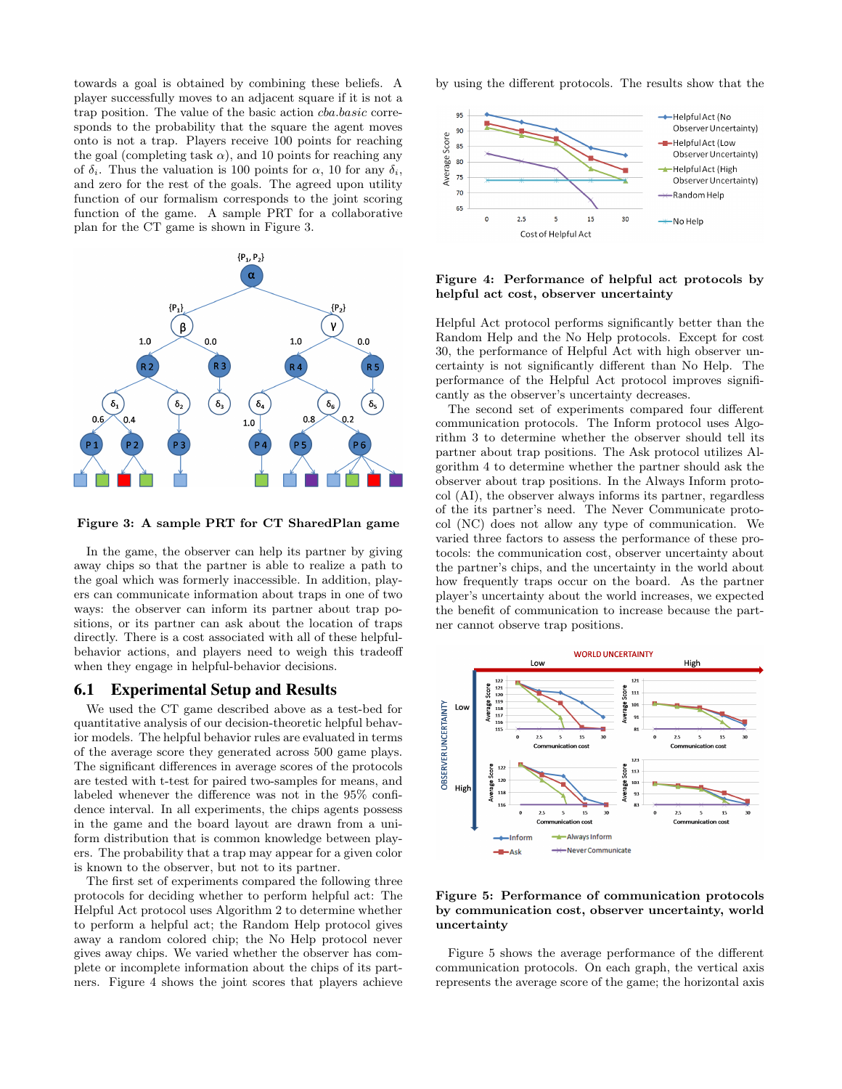towards a goal is obtained by combining these beliefs. A player successfully moves to an adjacent square if it is not a trap position. The value of the basic action cba.basic corresponds to the probability that the square the agent moves onto is not a trap. Players receive 100 points for reaching the goal (completing task  $\alpha$ ), and 10 points for reaching any of  $\delta_i$ . Thus the valuation is 100 points for  $\alpha$ , 10 for any  $\delta_i$ , and zero for the rest of the goals. The agreed upon utility function of our formalism corresponds to the joint scoring function of the game. A sample PRT for a collaborative plan for the CT game is shown in Figure 3.



Figure 3: A sample PRT for CT SharedPlan game

In the game, the observer can help its partner by giving away chips so that the partner is able to realize a path to the goal which was formerly inaccessible. In addition, players can communicate information about traps in one of two ways: the observer can inform its partner about trap positions, or its partner can ask about the location of traps directly. There is a cost associated with all of these helpfulbehavior actions, and players need to weigh this tradeoff when they engage in helpful-behavior decisions.

#### 6.1 Experimental Setup and Results

We used the CT game described above as a test-bed for quantitative analysis of our decision-theoretic helpful behavior models. The helpful behavior rules are evaluated in terms of the average score they generated across 500 game plays. The significant differences in average scores of the protocols are tested with t-test for paired two-samples for means, and labeled whenever the difference was not in the 95% confidence interval. In all experiments, the chips agents possess in the game and the board layout are drawn from a uniform distribution that is common knowledge between players. The probability that a trap may appear for a given color is known to the observer, but not to its partner.

The first set of experiments compared the following three protocols for deciding whether to perform helpful act: The Helpful Act protocol uses Algorithm 2 to determine whether to perform a helpful act; the Random Help protocol gives away a random colored chip; the No Help protocol never gives away chips. We varied whether the observer has complete or incomplete information about the chips of its partners. Figure 4 shows the joint scores that players achieve by using the different protocols. The results show that the



#### Figure 4: Performance of helpful act protocols by helpful act cost, observer uncertainty

Helpful Act protocol performs significantly better than the Random Help and the No Help protocols. Except for cost 30, the performance of Helpful Act with high observer uncertainty is not significantly different than No Help. The performance of the Helpful Act protocol improves significantly as the observer's uncertainty decreases.

The second set of experiments compared four different communication protocols. The Inform protocol uses Algorithm 3 to determine whether the observer should tell its partner about trap positions. The Ask protocol utilizes Algorithm 4 to determine whether the partner should ask the observer about trap positions. In the Always Inform protocol (AI), the observer always informs its partner, regardless of the its partner's need. The Never Communicate protocol (NC) does not allow any type of communication. We varied three factors to assess the performance of these protocols: the communication cost, observer uncertainty about the partner's chips, and the uncertainty in the world about how frequently traps occur on the board. As the partner player's uncertainty about the world increases, we expected the benefit of communication to increase because the partner cannot observe trap positions.



Figure 5: Performance of communication protocols by communication cost, observer uncertainty, world uncertainty

Figure 5 shows the average performance of the different communication protocols. On each graph, the vertical axis represents the average score of the game; the horizontal axis